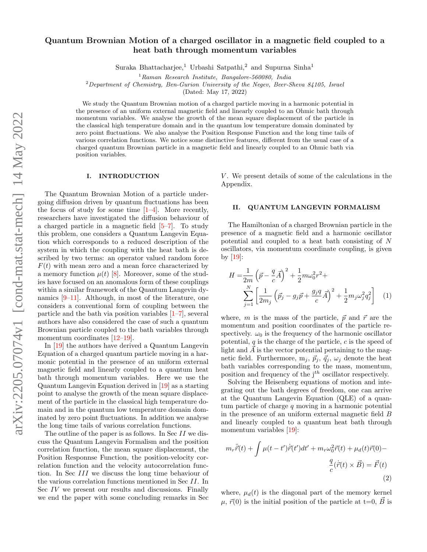# Quantum Brownian Motion of a charged oscillator in a magnetic field coupled to a heat bath through momentum variables

Suraka Bhattacharjee,<sup>1</sup> Urbashi Satpathi,<sup>2</sup> and Supurna Sinha<sup>1</sup>

 $1$ Raman Research Institute, Bangalore-560080, India

 $2$ Department of Chemistry, Ben-Gurion University of the Negev, Beer-Sheva 84105, Israel

(Dated: May 17, 2022)

We study the Quantum Brownian motion of a charged particle moving in a harmonic potential in the presence of an uniform external magnetic field and linearly coupled to an Ohmic bath through momentum variables. We analyse the growth of the mean square displacement of the particle in the classical high temperature domain and in the quantum low temperature domain dominated by zero point fluctuations. We also analyse the Position Response Function and the long time tails of various correlation functions. We notice some distinctive features, different from the usual case of a charged quantum Brownian particle in a magnetic field and linearly coupled to an Ohmic bath via position variables.

#### I. INTRODUCTION

The Quantum Brownian Motion of a particle undergoing diffusion driven by quantum fluctuations has been the focus of study for some time  $[1-4]$  $[1-4]$ . More recently, researchers have investigated the diffusion behaviour of a charged particle in a magnetic field  $[5-7]$  $[5-7]$ . To study this problem, one considers a Quantum Langevin Equation which corresponds to a reduced description of the system in which the coupling with the heat bath is described by two terms: an operator valued random force  $F(t)$  with mean zero and a mean force characterized by a memory function  $\mu(t)$  [\[8\]](#page-9-4). Moreover, some of the studies have focused on an anomalous form of these couplings within a similar framework of the Quantum Langevin dynamics [\[9–](#page-9-5)[11\]](#page-9-6). Although, in most of the literature, one considers a conventional form of coupling between the particle and the bath via position variables  $[1-7]$  $[1-7]$ , several authors have also considered the case of such a quantum Brownian particle coupled to the bath variables through momentum coordinates [\[12–](#page-9-7)[19\]](#page-9-8).

In [\[19\]](#page-9-8) the authors have derived a Quantum Langevin Equation of a charged quantum particle moving in a harmonic potential in the presence of an uniform external magnetic field and linearly coupled to a quantum heat bath through momentum variables. Here we use the Quantum Langevin Equation derived in [\[19\]](#page-9-8) as a starting point to analyse the growth of the mean square displacement of the particle in the classical high temperature domain and in the quantum low temperature domain dominated by zero point fluctuations. In addition we analyse the long time tails of various correlation functions.

The outline of the paper is as follows. In Sec II we discuss the Quantum Langevin Formalism and the position correlation function, the mean square displacement, the Position Responnse Function, the position-velocity correlation function and the velocity autocorrelation function. In Sec III we discuss the long time behaviour of the various correlation functions mentioned in Sec II. In Sec IV we present our results and discussions. Finally we end the paper with some concluding remarks in Sec

 $V$ . We present details of some of the calculations in the Appendix.

# II. QUANTUM LANGEVIN FORMALISM

The Hamiltonian of a charged Brownian particle in the presence of a magnetic field and a harmonic oscillator potential and coupled to a heat bath consisting of N oscillators, via momentum coordinate coupling, is given by  $|19|$ :

$$
H = \frac{1}{2m} \left( \vec{p} - \frac{q}{c} \vec{A} \right)^2 + \frac{1}{2} m \omega_0^2 r^2 +
$$
  

$$
\sum_{j=1}^N \left[ \frac{1}{2m_j} \left( \vec{p}_j - g_j \vec{p} + \frac{g_j q}{c} \vec{A} \right)^2 + \frac{1}{2} m_j \omega_j^2 q_j^2 \right] \quad (1)
$$

where, m is the mass of the particle,  $\vec{p}$  and  $\vec{r}$  are the momentum and position coordinates of the particle respectively.  $\omega_0$  is the frequency of the harmonic oscillator potential,  $q$  is the charge of the particle,  $c$  is the speed of light and  $\overrightarrow{A}$  is the vector potential pertaining to the magnetic field. Furthermore,  $m_j, \, \vec{p}_j, \, \vec{q}_j, \, \omega_j$  denote the heat bath variables corresponding to the mass, momentum, position and frequency of the  $j<sup>th</sup>$  oscillator respectively.

Solving the Heisenberg equations of motion and integrating out the bath degrees of freedom, one can arrive at the Quantum Langevin Equation (QLE) of a quantum particle of charge  $q$  moving in a harmonic potential in the presence of an uniform external magnetic field B and linearly coupled to a quantum heat bath through momentum variables [\[19\]](#page-9-8):

<span id="page-0-0"></span>
$$
m_r \ddot{\vec{r}}(t) + \int \mu(t - t') \dot{\vec{r}}(t') dt' + m_r \omega_0^2 \vec{r}(t) + \mu_d(t) \vec{r}(0) -
$$

$$
\frac{q}{c} (\dot{\vec{r}}(t) \times \vec{B}) = \vec{F}(t)
$$
(2)

where,  $\mu_d(t)$  is the diagonal part of the memory kernel  $\mu, \vec{r}(0)$  is the initial position of the particle at t=0,  $\vec{B}$  is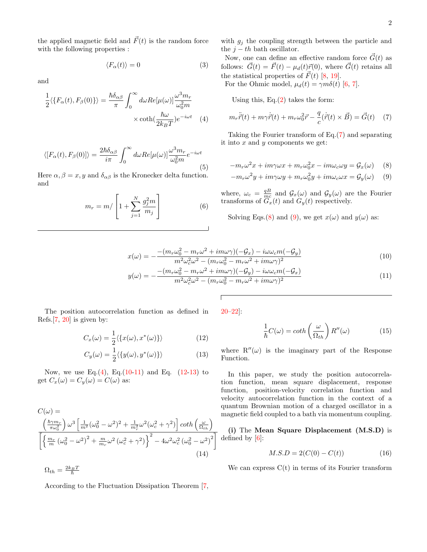the applied magnetic field and  $\vec{F}(t)$  is the random force with the following properties :

$$
\langle F_{\alpha}(t) \rangle = 0 \tag{3}
$$

and

$$
\frac{1}{2}\langle \{F_{\alpha}(t), F_{\beta}(0)\}\rangle = \frac{\hbar \delta_{\alpha\beta}}{\pi} \int_0^{\infty} d\omega \, Re[\mu(\omega)] \frac{\omega^3 m_r}{\omega_0^2 m} \times \coth(\frac{\hbar \omega}{2k_B T}) e^{-i\omega t} \tag{4}
$$

<span id="page-1-10"></span>
$$
\langle [F_{\alpha}(t), F_{\beta}(0)] \rangle = \frac{2\hbar \delta_{\alpha\beta}}{i\pi} \int_0^{\infty} d\omega \, Re[\mu(\omega)] \frac{\omega^3 m_r}{\omega_0^2 m} e^{-i\omega t}
$$
\n(5)

Here  $\alpha, \beta = x, y$  and  $\delta_{\alpha\beta}$  is the Kronecker delta function. and

$$
m_r = m / \left[1 + \sum_{j=1}^{N} \frac{g_j^2 m}{m_j}\right]
$$
 (6)

with  $g_j$  the coupling strength between the particle and the  $j - th$  bath oscillator.

Now, one can define an effective random force  $\vec{G}(t)$  as follows:  $\vec{G}(t) = \vec{F}(t) - \mu_d(t)\vec{r}(0)$ , where  $\vec{G}(t)$  retains all the statistical properties of  $\vec{F}(t)$  [\[8,](#page-9-4) [19\]](#page-9-8). For the Ohmic model,  $\mu_d(t) = \gamma m \delta(t)$  [\[6,](#page-9-9) [7\]](#page-9-3).

Using this, Eq. $(2)$  takes the form:

<span id="page-1-0"></span>
$$
m_r \ddot{\vec{r}}(t) + m_\gamma \dot{\vec{r}}(t) + m_r \omega_0^2 \vec{r} - \frac{q}{c} (\dot{\vec{r}}(t) \times \vec{B}) = \vec{G}(t) \quad (7)
$$

<span id="page-1-3"></span>Taking the Fourier transform of Eq.[\(7\)](#page-1-0) and separating it into  $x$  and  $y$  components we get:

<span id="page-1-2"></span><span id="page-1-1"></span>
$$
-m_r\omega^2 x + im\gamma\omega x + m_r\omega_0^2 x - im\omega_c\omega y = \mathcal{G}_x(\omega)
$$
 (8)  

$$
-m_r\omega^2 y + im\gamma\omega y + m_r\omega_0^2 y + im\omega_c\omega x = \mathcal{G}_y(\omega)
$$
 (9)

where,  $\omega_c = \frac{qB}{mc}$  and  $\mathcal{G}_x(\omega)$  and  $\mathcal{G}_y(\omega)$  are the Fourier transforms of  $G_x(t)$  and  $G_y(t)$  respectively.

Solving Eqs.[\(8\)](#page-1-1) and [\(9\)](#page-1-2), we get  $x(\omega)$  and  $y(\omega)$  as:

$$
x(\omega) = -\frac{-(m_r\omega_0^2 - m_r\omega^2 + im\omega\gamma)(-\mathcal{G}_x) - i\omega\omega_c m(-\mathcal{G}_y)}{m^2\omega_c^2\omega^2 - (m_r\omega_0^2 - m_r\omega^2 + im\omega\gamma)^2}
$$
(10)

$$
y(\omega) = -\frac{-(m_r\omega_0^2 - m_r\omega^2 + im\omega\gamma)(-\mathcal{G}_y) - i\omega\omega_c m(-\mathcal{G}_x)}{m^2\omega_c^2\omega^2 - (m_r\omega_0^2 - m_r\omega^2 + im\omega\gamma)^2}
$$
(11)

The position autocorrelation function as defined in Refs.[\[7,](#page-9-3) [20\]](#page-9-10) is given by:

$$
C_x(\omega) = \frac{1}{2} \langle \{x(\omega), x^*(\omega)\}\rangle \tag{12}
$$

$$
C_y(\omega) = \frac{1}{2} \langle \{y(\omega), y^*(\omega)\}\rangle \tag{13}
$$

Now, we use Eq. $(4)$ , Eq. $(10-11)$  $(10-11)$  and Eq.  $(12-13)$  $(12-13)$  to get  $C_x(\omega) = C_y(\omega) = C(\omega)$  as:

$$
C(\omega) =
$$
\n
$$
\frac{\left(\frac{\hbar \gamma m_r}{\pi \omega_0^2}\right) \omega^3 \left[\frac{1}{m^2} (\omega_0^2 - \omega^2)^2 + \frac{1}{m_r^2} \omega^2 (\omega_c^2 + \gamma^2)\right] \coth\left(\frac{\omega}{\Omega_{th}}\right)}{\left[\left\{\frac{m_r}{m} (\omega_0^2 - \omega^2)^2 + \frac{m}{m_r} \omega^2 (\omega_c^2 + \gamma^2)\right\}^2 - 4\omega^2 \omega_c^2 (\omega_0^2 - \omega^2)^2\right]}
$$
\n(14)

According to the Fluctuation Dissipation Theorem [\[7,](#page-9-3)

 $\Omega_{th}=\frac{2k_{B}T}{\hbar}$ 

[20–](#page-9-10)[22\]](#page-9-11):

<span id="page-1-8"></span><span id="page-1-5"></span><span id="page-1-4"></span>
$$
\frac{1}{\hbar}C(\omega) = \coth\left(\frac{\omega}{\Omega_{th}}\right)R''(\omega) \tag{15}
$$

<span id="page-1-7"></span><span id="page-1-6"></span>where  $R''(\omega)$  is the imaginary part of the Response Function.

In this paper, we study the position autocorrelation function, mean square displacement, response function, position-velocity correlation function and velocity autocorrelation function in the context of a quantum Brownian motion of a charged oscillator in a magnetic field coupled to a bath via momentum coupling.

<span id="page-1-9"></span>(i) The Mean Square Displacement (M.S.D) is defined by [\[6\]](#page-9-9):

$$
M.S.D = 2(C(0) - C(t))
$$
\n(16)

We can express  $C(t)$  in terms of its Fourier transform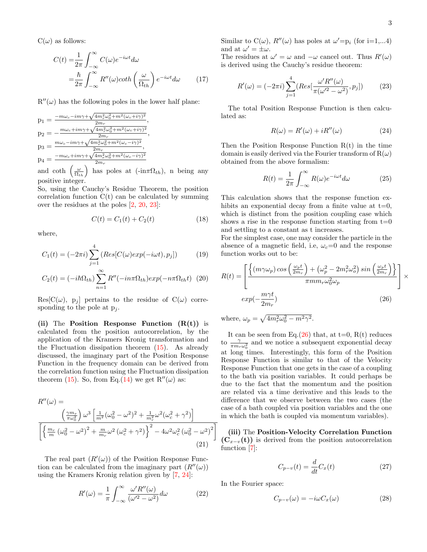$C(\omega)$  as follows:

$$
C(t) = \frac{1}{2\pi} \int_{-\infty}^{\infty} C(\omega)e^{-i\omega t} d\omega
$$

$$
= \frac{\hbar}{2\pi} \int_{-\infty}^{\infty} R''(\omega) \coth\left(\frac{\omega}{\Omega_{th}}\right) e^{-i\omega t} d\omega \qquad (17)
$$

 $R''(\omega)$  has the following poles in the lower half plane:

$$
p_1 = \frac{-m\omega_c - im\gamma + \sqrt{4m_r^2\omega_0^2 + m^2(\omega_c + i\gamma)^2}}{2m_r},
$$
  
\n
$$
p_2 = -\frac{m\omega_c + im\gamma + \sqrt{4m_r^2\omega_0^2 + m^2(\omega_c + i\gamma)^2}}{2m_r},
$$
  
\n
$$
p_3 = \frac{m\omega_c - im\gamma + \sqrt{4m_r^2\omega_0^2 + m^2(\omega_c - i\gamma)^2}}{2m_r},
$$
  
\n
$$
p_4 = \frac{-m\omega_c + im\gamma + \sqrt{4m_r^2\omega_0^2 + m^2(\omega_c - i\gamma)^2}}{2m_r}
$$

and coth  $\left(\frac{\omega}{\Omega_{th}}\right)$  has poles at  $(-\mathrm{in}\pi\Omega_{th})$ , n being any positive integer.

So, using the Cauchy's Residue Theorem, the position correlation function  $C(t)$  can be calculated by summing over the residues at the poles [\[2,](#page-9-12) [20,](#page-9-10) [23\]](#page-10-0):

$$
C(t) = C_1(t) + C_2(t)
$$
 (18)

where,

$$
C_1(t) = (-2\pi i) \sum_{j=1}^{4} \left( Res[C(\omega) exp(-i\omega t), p_j] \right) \tag{19}
$$

$$
C_2(t) = (-i\hbar\Omega_{th})\sum_{n=1}^{\infty} R''(-in\pi\Omega_{th})exp(-n\pi\Omega_{th}t)
$$
 (20)

 $Res[C(\omega), p_i]$  pertains to the residue of  $C(\omega)$  corresponding to the pole at  $p_i$ .

(ii) The Position Response Function  $(R(t))$  is calculated from the position autocorrelation, by the application of the Kramers Kronig transformation and the Fluctuation dissipation theorem  $(15)$ . As already discussed, the imaginary part of the Position Response Function in the frequency domain can be derived from the correlation function using the Fluctuation dissipation theorem [\(15\)](#page-1-8). So, from Eq.[\(14\)](#page-1-9) we get  $R''(\omega)$  as:

$$
R''(\omega) =
$$
  

$$
\left(\frac{\gamma m_r}{\pi \omega_0^2}\right) \omega^3 \left[\frac{1}{m^2}(\omega_0^2 - \omega^2)^2 + \frac{1}{m_r^2} \omega^2 (\omega_c^2 + \gamma^2)\right]
$$
  

$$
\left[\left\{\frac{m_r}{m}(\omega_0^2 - \omega^2)^2 + \frac{m}{m_r} \omega^2 (\omega_c^2 + \gamma^2)\right\}^2 - 4\omega^2 \omega_c^2 (\omega_0^2 - \omega^2)^2\right]
$$
  
(21)

The real part  $(R'(\omega))$  of the Position Response Function can be calculated from the imaginary part  $(R''(\omega))$ using the Kramers Kronig relation given by [\[7,](#page-9-3) [24\]](#page-10-1):

$$
R'(\omega) = \frac{1}{\pi} \int_{-\infty}^{\infty} \frac{\omega' R''(\omega)}{(\omega'^2 - \omega^2)} d\omega \tag{22}
$$

Similar to  $C(\omega)$ ,  $R''(\omega)$  has poles at  $\omega' = p_i$  (for i=1,...4) and at  $\omega' = \pm \omega$ .

<span id="page-2-3"></span>The residues at  $\omega' = \omega$  and  $-\omega$  cancel out. Thus  $R'(\omega)$ is derived using the Cauchy's residue theorem:

$$
R'(\omega) = (-2\pi i) \sum_{j=1}^{4} (Res[\frac{\omega' R''(\omega)}{\pi(\omega'^2 - \omega^2)}, p_j])
$$
 (23)

The total Position Response Function is then calculated as:

$$
R(\omega) = R'(\omega) + iR''(\omega) \tag{24}
$$

Then the Position Response Function  $R(t)$  in the time domain is easily derived via the Fourier transform of  $R(\omega)$ obtained from the above formalism:

$$
R(t) = \frac{1}{2\pi} \int_{-\infty}^{\infty} R(\omega)e^{-i\omega t} d\omega
$$
 (25)

This calculation shows that the response function exhibits an exponential decay from a finite value at  $t=0$ , which is distinct from the position coupling case which shows a rise in the response function starting from  $t=0$ and settling to a constant as t increases.

For the simplest case, one may consider the particle in the absence of a magnetic field, i.e,  $\omega_c=0$  and the response function works out to be:

$$
R(t) = \left[ \frac{\left\{ (m\gamma\omega_p) \cos\left(\frac{\omega_p t}{2m_r}\right) + \left(\omega_p^2 - 2m_r^2 \omega_o^2\right) \sin\left(\frac{\omega_p t}{2m_r}\right) \right\}}{\pi m m_r \omega_0^2 \omega_p} \right] \times
$$
  
\n
$$
exp(-\frac{m\gamma t}{2m_r})
$$
\n(26)

<span id="page-2-0"></span>where,  $\omega_p = \sqrt{4m_r^2\omega_0^2 - m^2\gamma^2}$ .

It can be seen from Eq. $(26)$  that, at t=0, R(t) reduces to  $\frac{\gamma}{\pi m_r \omega_0^2}$  and we notice a subsequent exponential decay at long times. Interestingly, this form of the Position Response Function is similar to that of the Velocity Response Function that one gets in the case of a coupling to the bath via position variables. It could perhaps be due to the fact that the momentum and the position are related via a time derivative and this leads to the difference that we observe between the two cases (the case of a bath coupled via position variables and the one in which the bath is coupled via momentum variables).

(iii) The Position-Velocity Correlation Function  $(C_{x-v}(t))$  is derived from the position autocorrelation function [\[7\]](#page-9-3):

<span id="page-2-1"></span>
$$
C_{p-v}(t) = \frac{d}{dt}C_x(t)
$$
\n(27)

In the Fourier space:

<span id="page-2-2"></span>
$$
C_{p-v}(\omega) = -i\omega C_x(\omega)
$$
 (28)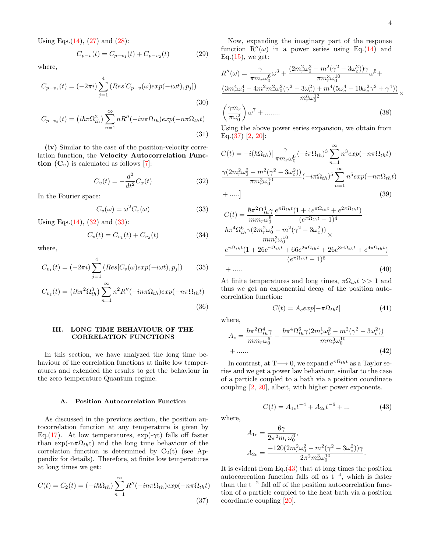Using Eqs. $(14)$ ,  $(27)$  and  $(28)$ :

$$
C_{p-v}(t) = C_{p-v_1}(t) + C_{p-v_2}(t)
$$
\n(29)

where,

$$
C_{p-v_1}(t) = (-2\pi i) \sum_{j=1}^{4} (Res[C_{p-v}(\omega)exp(-i\omega t), p_j])
$$
\n(30)

$$
C_{p-v_2}(t) = \left(i\hbar\pi\Omega_{th}^2\right) \sum_{n=1}^{\infty} nR''(-in\pi\Omega_{th})exp(-n\pi\Omega_{th}t)
$$
\n(31)

(iv) Similar to the case of the position-velocity correlation function, the Velocity Autocorrelation Function  $(C_v)$  is calculated as follows [\[7\]](#page-9-3):

$$
C_v(t) = -\frac{d^2}{dt^2}C_x(t)
$$
\n(32)

In the Fourier space:

$$
C_v(\omega) = \omega^2 C_x(\omega) \tag{33}
$$

Using Eqs. $(14)$ ,  $(32)$  and  $(33)$ :

$$
C_v(t) = C_{v_1}(t) + C_{v_2}(t)
$$
\n(34)

where,

$$
C_{v_1}(t) = (-2\pi i) \sum_{j=1}^{4} (Res[C_v(\omega)exp(-i\omega t), p_j])
$$
 (35)

$$
C_{v_2}(t) = \left(i\hbar\pi^2\Omega_{th}^3\right) \sum_{n=1}^{\infty} n^2 R''(-in\pi\Omega_{th}) exp(-n\pi\Omega_{th}t)
$$
\n(36)

## III. LONG TIME BEHAVIOUR OF THE CORRELATION FUNCTIONS

In this section, we have analyzed the long time behaviour of the correlation functions at finite low temperatures and extended the results to get the behaviour in the zero temperature Quantum regime.

# A. Position Autocorrelation Function

As discussed in the previous section, the position autocorrelation function at any temperature is given by Eq.[\(17\)](#page-2-3). At low temperatures,  $\exp(-\gamma t)$  falls off faster than exp( $-n\pi\Omega_{th}$ t) and the long time behaviour of the correlation function is determined by  $C_2(t)$  (see Appendix for details). Therefore, at finite low temperatures at long times we get:

$$
C(t) = C_2(t) = (-i\hbar\Omega_{th})\sum_{n=1}^{\infty} R''(-in\pi\Omega_{th})exp(-n\pi\Omega_{th}t)
$$
\n(37)

Now, expanding the imaginary part of the response function  $R''(\omega)$  in a power series using Eq.[\(14\)](#page-1-9) and Eq. $(15)$ , we get:

$$
R''(\omega) = \frac{\gamma}{\pi m_r \omega_0^6} \omega^3 + \frac{(2m_r^2 \omega_0^2 - m^2 (\gamma^2 - 3\omega_c^2))\gamma}{\pi m_r^3 \omega_0^{10}} \omega^5 +
$$
  

$$
\frac{(3m_r^4 \omega_0^4 - 4m^2 m_r^2 \omega_0^2 (\gamma^2 - 3\omega_c^2) + m^4 (5\omega_c^4 - 10\omega_c^2 \gamma^2 + \gamma^4))}{m_r^6 \omega_0^{12}} \times
$$
  

$$
\left(\frac{\gamma m_r}{\pi \omega_0^2}\right) \omega^7 + \dots \dots \tag{38}
$$

Using the above power series expansion, we obtain from Eq. $(37)$  [\[2,](#page-9-12) [20\]](#page-9-10):

<span id="page-3-0"></span>
$$
C(t) = -i(\hbar\Omega_{th})\left[\frac{\gamma}{\pi m_r\omega_0^6}(-i\pi\Omega_{th})^3\sum_{n=1}^{\infty}n^3exp(-n\pi\Omega_{th}t) + \frac{\gamma(2m_r^2\omega_0^2 - m^2(\gamma^2 - 3\omega_c^2))}{\pi m_r^3\omega_0^{10}}(-i\pi\Omega_{th})^5\sum_{n=1}^{\infty}n^5exp(-n\pi\Omega_{th}t) + \dots \right]
$$
\n(39)

<span id="page-3-1"></span>
$$
C(t) = \frac{\hbar \pi^2 \Omega_{th}^4 \gamma}{mm_r \omega_0^6} \frac{e^{\pi \Omega_{th}t} (1 + 4e^{\pi \Omega_{th}t} + e^{2\pi \Omega_{th}t})}{(e^{\pi \Omega_{th}t} - 1)^4} - \frac{\hbar \pi^4 \Omega_{th}^6 \gamma (2m_r^2 \omega_0^2 - m^2 (\gamma^2 - 3\omega_c^2))}{mm_r^2 \omega_0^{10}} \times \frac{e^{\pi \Omega_{th}t} (1 + 26e^{\pi \Omega_{th}t} + 66e^{2\pi \Omega_{th}t} + 26e^{3\pi \Omega_{th}t} + e^{4\pi \Omega_{th}t})}{(e^{\pi \Omega_{th}t} - 1)^6} + \dots
$$
\n(40)

At finite temperatures and long times,  $\pi \Omega_{th} t >> 1$  and thus we get an exponential decay of the position autocorrelation function:

<span id="page-3-4"></span>
$$
C(t) = A_c exp[-\pi \Omega_{th} t] \tag{41}
$$

where,

$$
A_c = \frac{\hbar \pi^2 \Omega_{th}^4 \gamma}{m m_r \omega_0^6} - \frac{\hbar \pi^4 \Omega_{th}^6 \gamma (2m_r^1 \omega_0^2 - m^2 (\gamma^2 - 3 \omega_c^2))}{m m_r^3 \omega_0^{10}} + \dots \dots \tag{42}
$$

In contrast, at  $T \longrightarrow 0$ , we expand  $e^{\pi \Omega_{th} t}$  as a Taylor series and we get a power law behaviour, similar to the case of a particle coupled to a bath via a position coordinate coupling [\[2,](#page-9-12) [20\]](#page-9-10), albeit, with higher power exponents.

<span id="page-3-3"></span>
$$
C(t) = A_{1c}t^{-4} + A_{2c}t^{-6} + \dots \tag{43}
$$

where,

$$
A_{1c} = \frac{6\gamma}{2\pi^2 m_r \omega_0^6},
$$
  
\n
$$
A_{2c} = \frac{-120(2m_r^2\omega_0^2 - m^2(\gamma^2 - 3\omega_c^2))\gamma}{2\pi^2 m_r^3 \omega_0^{10}}.
$$

<span id="page-3-2"></span>It is evident from Eq.[\(43\)](#page-3-3) that at long times the position autocorreation function falls off as  $t^{-4}$ , which is faster than the  $t^{-2}$  fall off of the position autocorrelation function of a particle coupled to the heat bath via a position coordinate coupling [\[20\]](#page-9-10).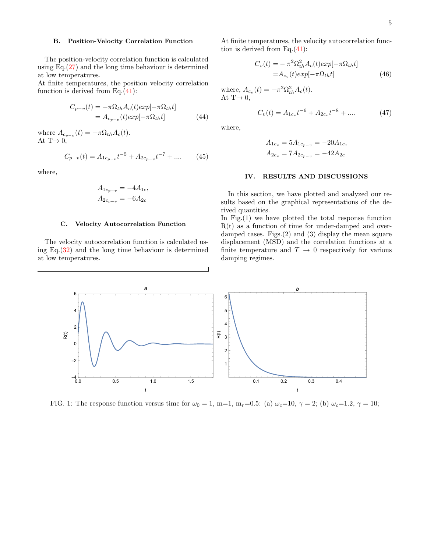# B. Position-Velocity Correlation Function

The position-velocity correlation function is calculated using Eq. $(27)$  and the long time behaviour is determined at low temperatures.

At finite temperatures, the position velocity correlation function is derived from Eq.[\(41\)](#page-3-4):

$$
C_{p-v}(t) = -\pi \Omega_{th} A_c(t) exp[-\pi \Omega_{th} t]
$$
  
=  $A_{c_{p-v}}(t) exp[-\pi \Omega_{th} t]$  (44)

where  $A_{c_{p-v}}(t) = -\pi \Omega_{th} A_c(t)$ . At  $T \rightarrow 0$ ,

$$
C_{p-v}(t) = A_{1c_{p-v}}t^{-5} + A_{2c_{p-v}}t^{-7} + \dots \tag{45}
$$

where,

$$
A_{1c_{p-v}} = -4A_{1c},
$$
  

$$
A_{2c_{p-v}} = -6A_{2c}
$$

#### C. Velocity Autocorrelation Function

The velocity autocorrelation function is calculated using Eq.[\(32\)](#page-3-0) and the long time behaviour is determined at low temperatures.

At finite temperatures, the velocity autocorrelation function is derived from Eq. $(41)$ :

$$
C_v(t) = -\pi^2 \Omega_{th}^2 A_c(t) exp[-\pi \Omega_{th} t]
$$
  
=  $A_{cv}(t) exp[-\pi \Omega_{th} t]$  (46)

where,  $A_{c_v}(t) = -\pi^2 \Omega_{th}^2 A_c(t)$ . At  $T\rightarrow 0$ ,

$$
C_v(t) = A_{1c_v}t^{-6} + A_{2c_v}t^{-8} + \dots \tag{47}
$$

where,

$$
A_{1c_v} = 5A_{1c_{p-v}} = -20A_{1c},
$$
  
\n
$$
A_{2c_v} = 7A_{2c_{p-v}} = -42A_{2c}
$$

### IV. RESULTS AND DISCUSSIONS

In this section, we have plotted and analyzed our results based on the graphical representations of the derived quantities.

In Fig.(1) we have plotted the total response function  $R(t)$  as a function of time for under-damped and overdamped cases. Figs.(2) and (3) display the mean square displacement (MSD) and the correlation functions at a finite temperature and  $T \rightarrow 0$  respectively for various damping regimes.



FIG. 1: The response function versus time for  $\omega_0 = 1$ , m=1, m<sub>r</sub>=0.5: (a)  $\omega_c=10$ ,  $\gamma = 2$ ; (b)  $\omega_c=1.2$ ,  $\gamma = 10$ ;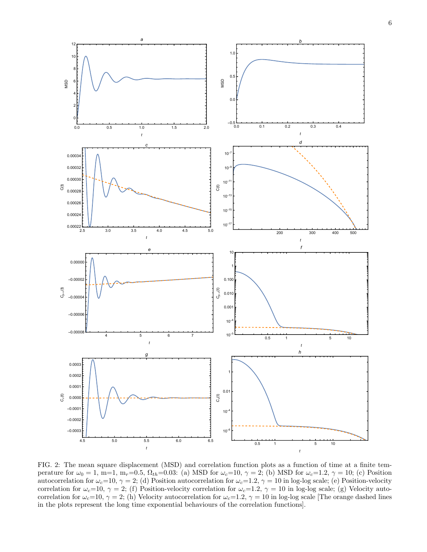

FIG. 2: The mean square displacement (MSD) and correlation function plots as a function of time at a finite temperature for  $\omega_0 = 1$ , m=1, m<sub>r</sub>=0.5,  $\Omega_{th}$ =0.03: (a) MSD for  $\omega_c=10$ ,  $\gamma = 2$ ; (b) MSD for  $\omega_c=1.2$ ,  $\gamma = 10$ ; (c) Position autocorrelation for  $\omega_c=10$ ,  $\gamma=2$ ; (d) Position autocorrelation for  $\omega_c=1.2$ ,  $\gamma=10$  in log-log scale; (e) Position-velocity correlation for  $\omega_c=10$ ,  $\gamma=2$ ; (f) Position-velocity correlation for  $\omega_c=1.2$ ,  $\gamma=10$  in log-log scale; (g) Velocity autocorrelation for  $\omega_c=10$ ,  $\gamma=2$ ; (h) Velocity autocorrelation for  $\omega_c=1.2$ ,  $\gamma=10$  in log-log scale [The orange dashed lines in the plots represent the long time exponential behaviours of the correlation functions].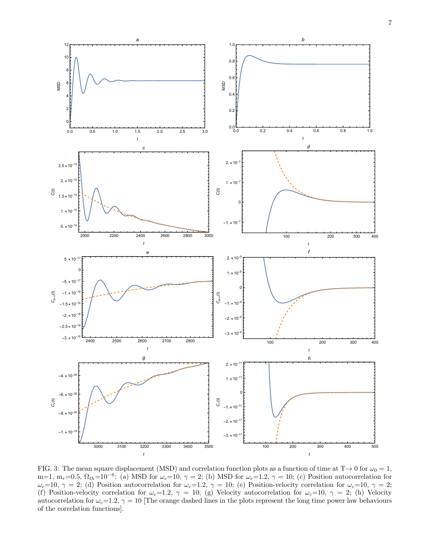

FIG. 3: The mean square displacement (MSD) and correlation function plots as a function of time at  $T\to 0$  for  $\omega_0 = 1$ , m=1, m<sub>r</sub>=0.5,  $\Omega_{th}$ =10<sup>-6</sup>: (a) MSD for  $\omega_c$ =10,  $\gamma$  = 2; (b) MSD for  $\omega_c$ =1.2,  $\gamma$  = 10; (c) Position autocorrelation for  $\omega_c=10$ ,  $\gamma=2$ ; (d) Position autocorrelation for  $\omega_c=1.2$ ,  $\gamma=10$ ; (e) Position-velocity correlation for  $\omega_c=10$ ,  $\gamma=2$ ; (f) Position-velocity correlation for  $\omega_c=1.2$ ,  $\gamma=10$ ; (g) Velocity autocorrelation for  $\omega_c=10$ ,  $\gamma=2$ ; (h) Velocity autocorrelation for  $\omega_c=1.2$ ,  $\gamma=10$  [The orange dashed lines in the plots represent the long time power law behaviours of the correlation functions].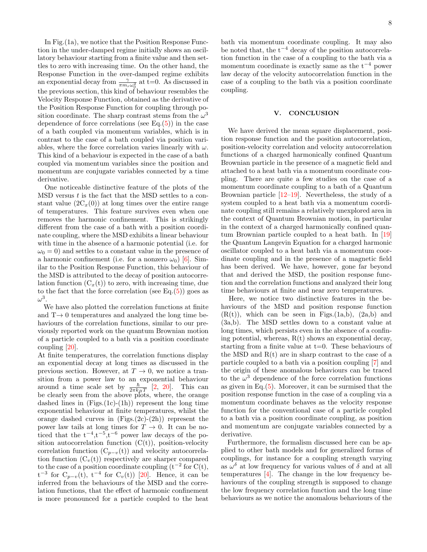In Fig.(1a), we notice that the Position Response Function in the under-damped regime initially shows an oscillatory behaviour starting from a finite value and then settles to zero with increasing time. On the other hand, the Response Function in the over-damped regime exhibits an exponential decay from  $\frac{\gamma}{\pi m_r \omega_0^2}$  at t=0. As discussed in the previous section, this kind of behaviour resembles the Velocity Response Function, obtained as the derivative of the Position Response Function for coupling through position coordinate. The sharp contrast stems from the  $\omega^3$ dependence of force correlations (see Eq. $(5)$ ) in the case of a bath coupled via momentum variables, which is in contrast to the case of a bath coupled via position variables, where the force correlation varies linearly with  $\omega$ . This kind of a behaviour is expected in the case of a bath coupled via momentum variables since the position and momentum are conjugate variables connected by a time derivative.

One noticeable distinctive feature of the plots of the  $\text{MSD}$  versus t is the fact that the MSD settles to a constant value  $(2C_x(0))$  at long times over the entire range of temperatures. This feature survives even when one removes the harmonic confinement. This is strikingly different from the case of a bath with a position coordinate coupling, where the MSD exhibits a linear behaviour with time in the absence of a harmonic potential (i.e. for  $\omega_0 = 0$  and settles to a constant value in the presence of a harmonic confinement (i.e. for a nonzero  $\omega_0$ ) [\[6\]](#page-9-9). Similar to the Position Response Function, this behaviour of the MSD is attributed to the decay of position autocorrelation function  $(C_x(t))$  to zero, with increasing time, due to the fact that the force correlation (see Eq. $(5)$ ) goes as  $\omega^3$ .

We have also plotted the correlation functions at finite and  $T\rightarrow 0$  temperatures and analyzed the long time behaviours of the correlation functions, similar to our previously reported work on the quantum Brownian motion of a particle coupled to a bath via a position coordinate coupling [\[20\]](#page-9-10).

At finite temperatures, the correlation functions display an exponential decay at long times as discussed in the previous section. However, at  $T \to 0$ , we notice a transition from a power law to an exponential behaviour around a time scale set by  $\frac{\hbar}{2\pi k_BT}$  [\[2,](#page-9-12) [20\]](#page-9-10). This can be clearly seen from the above plots, where, the orange dashed lines in  $(Figs.(1c)-(1h))$  represent the long time exponential behaviour at finite temperatures, whilst the orange dashed curves in  $(Figs.(2c)-(2h))$  represent the power law tails at long times for  $T \to 0$ . It can be noticed that the  $t^{-4}, t^{-5}, t^{-6}$  power law decays of the position autocorrelation function  $(C(t))$ , position-velocity correlation function  $(C_{p-v}(t))$  and velocity autocorrelation function  $(C_v(t))$  respectively are sharper compared to the case of a position coordinate coupling  $(t^{-2}$  for  $C(t)$ ,  $t^{-3}$  for  $C_{p-v}(t)$ ,  $t^{-4}$  for  $C_v(t)$  [\[20\]](#page-9-10). Hence, it can be inferred from the behaviours of the MSD and the correlation functions, that the effect of harmonic confinement is more pronounced for a particle coupled to the heat

bath via momentum coordinate coupling. It may also be noted that, the  $t^{-4}$  decay of the position autocorrelation function in the case of a coupling to the bath via a momentum coordinate is exactly same as the  $t^{-4}$  power law decay of the velocity autocorrelation function in the case of a coupling to the bath via a position coordinate coupling.

#### V. CONCLUSION

We have derived the mean square displacement, position response function and the position autocorrelation, position-velocity correlation and velocity autocorrelation functions of a charged harmonically confined Quantum Brownian particle in the presence of a magnetic field and attached to a heat bath via a momentum coordinate coupling. There are quite a few studies on the case of a momentum coordinate coupling to a bath of a Quantum Brownian particle  $[12-19]$  $[12-19]$ . Nevertheless, the study of a system coupled to a heat bath via a momentum coordinate coupling still remains a relatively unexplored area in the context of Quantum Brownian motion, in particular in the context of a charged harmonically confined quantum Brownian particle coupled to a heat bath. In [\[19\]](#page-9-8) the Quantum Langevin Equation for a charged harmonic oscillator coupled to a heat bath via a momentum coordinate coupling and in the presence of a magnetic field has been derived. We have, however, gone far beyond that and derived the MSD, the position response function and the correlation functions and analyzed their long time behaviours at finite and near zero temperatures.

Here, we notice two distinctive features in the behaviours of the MSD and position response function  $(R(t))$ , which can be seen in Figs. $(1a,b)$ ,  $(2a,b)$  and (3a,b). The MSD settles down to a constant value at long times, which persists even in the absence of a confining potential, whereas,  $R(t)$  shows an exponential decay, starting from a finite value at  $t=0$ . These behaviours of the MSD and  $R(t)$  are in sharp contrast to the case of a particle coupled to a bath via a position coupling [\[7\]](#page-9-3) and the origin of these anomalous behaviours can be traced to the  $\omega^3$  dependence of the force correlation functions as given in Eq.[\(5\)](#page-1-10). Moreover, it can be surmised that the position response function in the case of a coupling via a momentum coordinate behaves as the velocity response function for the conventional case of a particle coupled to a bath via a position coordinate coupling, as position and momentum are conjugate variables connected by a derivative.

Furthermore, the formalism discussed here can be applied to other bath models and for generalized forms of couplings, for instance for a coupling strength varying as  $\omega^{\delta}$  at low frequency for various values of  $\delta$  and at all temperatures [\[4\]](#page-9-1). The change in the low frequency behaviours of the coupling strength is supposed to change the low frequency correlation function and the long time behaviours as we notice the anomalous behaviours of the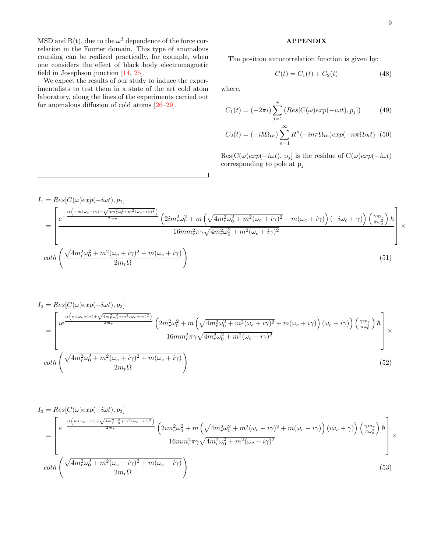MSD and R(t), due to the  $\omega^3$  dependence of the force correlation in the Fourier domain. This type of anomalous coupling can be realized practically, for example, when one considers the effect of black body electromagnetic field in Josephson junction [\[14,](#page-9-13) [25\]](#page-10-2).

We expect the results of our study to induce the experimentalists to test them in a state of the art cold atom laboratory, along the lines of the experiments carried out for anomalous diffusion of cold atoms [\[26](#page-10-3)[–29\]](#page-10-4).

#### APPENDIX

The position autocorrelation function is given by:

$$
C(t) = C_1(t) + C_2(t)
$$
 (48)

where,

$$
C_1(t) = (-2\pi i) \sum_{j=1}^{4} \left( Res[C(\omega) exp(-i\omega t), p_j] \right) \tag{49}
$$

$$
C_2(t) = (-i\hbar\Omega_{th})\sum_{n=1}^{\infty} R''(-in\pi\Omega_{th})exp(-n\pi\Omega_{th}t)
$$
 (50)

 $Res[C(\omega)exp(-i\omega t), p_j]$  is the residue of  $C(\omega)exp(-i\omega t)$ corresponding to pole at  $p_j$ 

$$
I_{1} = Res[C(\omega)exp(-i\omega t), p_{1}]
$$
\n
$$
= \left[\frac{e^{-\frac{it\left(-m(\omega_{c}+i\gamma)+\sqrt{4m_{r}^{2}\omega_{0}^{2}+m^{2}(\omega_{c}+i\gamma)^{2}}\right)}{2m_{r}}}\left(2im_{r}^{2}\omega_{0}^{2}+m\left(\sqrt{4m_{r}^{2}\omega_{0}^{2}+m^{2}(\omega_{c}+i\gamma)^{2}}-m(\omega_{c}+i\gamma)\right)\left(-i\omega_{c}+\gamma\right)\right)\left(\frac{\gamma m_{r}}{\pi\omega_{0}^{2}}\right)\hbar}{16mm_{r}^{2}\pi\gamma\sqrt{4m_{r}^{2}\omega_{0}^{2}+m^{2}(\omega_{c}+i\gamma)^{2}}}\right]\times
$$
\n
$$
coth\left(\frac{\sqrt{4m_{r}^{2}\omega_{0}^{2}+m^{2}(\omega_{c}+i\gamma)^{2}-m(\omega_{c}+i\gamma)}\right)}{2m_{r}\Omega}\right)\tag{51}
$$

$$
I_{2} = Res[C(\omega)exp(-i\omega t), p_{2}]
$$
\n
$$
= \left[\frac{ie^{i\left(m(\omega_{c}+i\gamma)+\sqrt{4m_{r}^{2}\omega_{0}^{2}+m^{2}(\omega_{c}+i\gamma)^{2}}\right)}}{2^{m_{r}}}\left(2m_{r}^{2}\omega_{0}^{2}+m\left(\sqrt{4m_{r}^{2}\omega_{0}^{2}+m^{2}(\omega_{c}+i\gamma)^{2}}+m(\omega_{c}+i\gamma)\right)(\omega_{c}+i\gamma)\right)\left(\frac{\gamma m_{r}}{\pi\omega_{0}^{2}}\right)\hbar}\right] \times
$$
\n
$$
coth\left(\frac{\sqrt{4m_{r}^{2}\omega_{0}^{2}+m^{2}(\omega_{c}+i\gamma)^{2}+m(\omega_{c}+i\gamma)}}{2m_{r}\Omega}\right)\tag{52}
$$

$$
I_{3} = Res[C(\omega)exp(-i\omega t), p_{3}]
$$
\n
$$
= \left[\frac{e^{-\frac{it(m(\omega_{c}-i\gamma)+\sqrt{4m_{r}^{2}\omega_{0}^{2}+m^{2}(\omega_{c}-i\gamma)^{2}})}}{2m_{r}} \left(2im_{r}^{2}\omega_{0}^{2}+m\left(\sqrt{4m_{r}^{2}\omega_{0}^{2}+m^{2}(\omega_{c}-i\gamma)^{2}}+m(\omega_{c}-i\gamma)\right)(i\omega_{c}+\gamma)\right)\left(\frac{\gamma m_{r}}{\pi\omega_{0}^{2}}\right)\hbar}{16mm_{r}^{2}\pi\gamma\sqrt{4m_{r}^{2}\omega_{0}^{2}+m^{2}(\omega_{c}-i\gamma)^{2}}} \right]\times
$$
\n
$$
\coth\left(\frac{\sqrt{4m_{r}^{2}\omega_{0}^{2}+m^{2}(\omega_{c}-i\gamma)^{2}+m(\omega_{c}-i\gamma)}}{2m_{r}\Omega}\right)
$$
\n(53)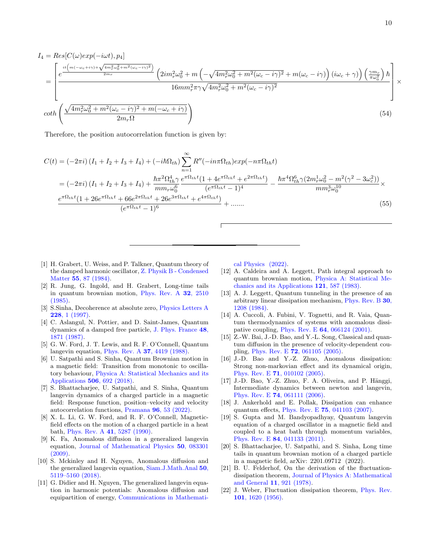$$
I_{4} = Res[C(\omega)exp(-i\omega t), p_{4}]
$$
\n
$$
= \left[\frac{e^{\frac{it\left(m(-\omega_{c}+i\gamma)+\sqrt{4m_{r}^{2}\omega_{0}^{2}+m^{2}(\omega_{c}-i\gamma)^{2}}\right)}}{2m_{r}}}\left(2im_{r}^{2}\omega_{0}^{2}+m\left(-\sqrt{4m_{r}^{2}\omega_{0}^{2}+m^{2}(\omega_{c}-i\gamma)^{2}}+m(\omega_{c}-i\gamma)\right)(i\omega_{c}+\gamma)\right)\left(\frac{\gamma m_{r}}{\pi\omega_{0}^{2}}\right)\hbar}\right] \times
$$
\n
$$
coth\left(\frac{\sqrt{4m_{r}^{2}\omega_{0}^{2}+m^{2}(\omega_{c}-i\gamma)^{2}+m(-\omega_{c}+i\gamma)}}{2m_{r}\Omega}\right)\tag{54}
$$

Therefore, the position autocorrelation function is given by:

$$
C(t) = (-2\pi i) (I_1 + I_2 + I_3 + I_4) + (-i\hbar\Omega_{th}) \sum_{n=1}^{\infty} R''(-in\pi\Omega_{th}) exp(-n\pi\Omega_{th}t)
$$
  
\n
$$
= (-2\pi i) (I_1 + I_2 + I_3 + I_4) + \frac{\hbar\pi^2 \Omega_{th}^4 \gamma e^{\pi\Omega_{th}t} (1 + 4e^{\pi\Omega_{th}t} + e^{2\pi\Omega_{th}t})}{mn_r\omega_0^6} - \frac{\hbar\pi^4 \Omega_{th}^6 \gamma (2m_r^1\omega_0^2 - m^2(\gamma^2 - 3\omega_c^2))}{mn_r^3\omega_0^{10}} \times \frac{e^{\pi\Omega_{th}t} (1 + 26e^{\pi\Omega_{th}t} + 66e^{2\pi\Omega_{th}t} + 26e^{3\pi\Omega_{th}t} + e^{4\pi\Omega_{th}t})}{(e^{\pi\Omega_{th}t} - 1)^6} + \dots
$$
\n(55)

- <span id="page-9-0"></span>[1] H. Grabert, U. Weiss, and P. Talkner, Quantum theory of the damped harmonic oscillator, [Z. Physik B - Condensed](https://doi.org/10.1007/BF01307505) Matter 55[, 87 \(1984\).](https://doi.org/10.1007/BF01307505)
- <span id="page-9-12"></span>[2] R. Jung, G. Ingold, and H. Grabert, Long-time tails in quantum brownian motion, [Phys. Rev. A](https://doi.org/10.1103/PhysRevA.32.2510) 32, 2510 [\(1985\).](https://doi.org/10.1103/PhysRevA.32.2510)
- [3] S.Sinha, Decoherence at absolute zero, [Physics Letters A](https://doi.org/10.1016/S0375-9601(97)00098-4) 228[, 1 \(1997\).](https://doi.org/10.1016/S0375-9601(97)00098-4)
- <span id="page-9-1"></span>[4] C. Aslangul, N. Pottier, and D. Saint-James, Quantum dynamics of a damped free particle, [J. Phys. France](https://doi.org/10.1051/jphys:0198700480110187100) 48, [1871 \(1987\).](https://doi.org/10.1051/jphys:0198700480110187100)
- <span id="page-9-2"></span>[5] G. W. Ford, J. T. Lewis, and R. F. O'Connell, Quantum langevin equation, Phys. Rev. A 37[, 4419 \(1988\).](https://doi.org/10.1103/PhysRevA.37.4419)
- <span id="page-9-9"></span>[6] U. Satpathi and S. Sinha, Quantum Brownian motion in a magnetic field: Transition from monotonic to oscillatory behaviour, [Physica A: Statistical Mechanics and its](https://doi.org/https://doi.org/10.1016/j.physa.2018.04.085) [Applications](https://doi.org/https://doi.org/10.1016/j.physa.2018.04.085) 506, 692 (2018).
- <span id="page-9-3"></span>[7] S. Bhattacharjee, U. Satpathi, and S. Sinha, Quantum langevin dynamics of a charged particle in a magnetic field: Response function, position–velocity and velocity autocorrelation functions, Pramana 96[, 53 \(2022\).](https://doi.org/10.1007/s12043-022-02295-1)
- <span id="page-9-4"></span>[8] X. L. Li, G. W. Ford, and R. F. O'Connell, Magneticfield effects on the motion of a charged particle in a heat bath, [Phys. Rev. A](https://doi.org/10.1103/PhysRevA.41.5287) 41, 5287 (1990).
- <span id="page-9-5"></span>[9] K. Fa, Anomalous diffusion in a generalized langevin equation, [Journal of Mathematical Physics](https://doi.org/10.1063/1.3187218) 50, 083301 [\(2009\).](https://doi.org/10.1063/1.3187218)
- [10] S. Mckinley and H. Nguyen, Anomalous diffusion and the generalized langevin equation, [Siam.J.Math.Anal](https://doi.org/10.1137/17M115517X) 50, [5119–5160 \(2018\).](https://doi.org/10.1137/17M115517X)
- <span id="page-9-6"></span>[11] G. Didier and H. Nguyen, The generalized langevin equation in harmonic potentials: Anomalous diffusion and equipartition of energy, [Communications in Mathemati-](https://doi.org/10.1007/s00220-022-04378-x)

[cal Physics \(2022\).](https://doi.org/10.1007/s00220-022-04378-x)

- <span id="page-9-7"></span>[12] A. Caldeira and A. Leggett, Path integral approach to quantum brownian motion, [Physica A: Statistical Me](https://doi.org/https://doi.org/10.1016/0378-4371(83)90013-4)[chanics and its Applications](https://doi.org/https://doi.org/10.1016/0378-4371(83)90013-4) 121, 587 (1983).
- [13] A. J. Leggett, Quantum tunneling in the presence of an arbitrary linear dissipation mechanism, [Phys. Rev. B](https://doi.org/10.1103/PhysRevB.30.1208) 30, [1208 \(1984\).](https://doi.org/10.1103/PhysRevB.30.1208)
- <span id="page-9-13"></span>[14] A. Cuccoli, A. Fubini, V. Tognetti, and R. Vaia, Quantum thermodynamics of systems with anomalous dissipative coupling, Phys. Rev. E 64[, 066124 \(2001\).](https://doi.org/10.1103/PhysRevE.64.066124)
- [15] Z.-W. Bai, J.-D. Bao, and Y.-L. Song, Classical and quantum diffusion in the presence of velocity-dependent coupling, Phys. Rev. E 72[, 061105 \(2005\).](https://doi.org/10.1103/PhysRevE.72.061105)
- [16] J.-D. Bao and Y.-Z. Zhuo, Anomalous dissipation: Strong non-markovian effect and its dynamical origin, Phys. Rev. E 71[, 010102 \(2005\).](https://doi.org/10.1103/PhysRevE.71.010102)
- $[17]$  J.-D. Bao, Y.-Z. Zhuo, F. A. Oliveira, and P. Hänggi, Intermediate dynamics between newton and langevin, Phys. Rev. E 74[, 061111 \(2006\).](https://doi.org/10.1103/PhysRevE.74.061111)
- [18] J. Ankerhold and E. Pollak, Dissipation can enhance quantum effects, Phys. Rev. E 75[, 041103 \(2007\).](https://doi.org/10.1103/PhysRevE.75.041103)
- <span id="page-9-8"></span>[19] S. Gupta and M. Bandyopadhyay, Quantum langevin equation of a charged oscillator in a magnetic field and coupled to a heat bath through momentum variables, Phys. Rev. E 84[, 041133 \(2011\).](https://doi.org/10.1103/PhysRevE.84.041133)
- <span id="page-9-10"></span>[20] S. Bhattacharjee, U. Satpathi, and S. Sinha, Long time tails in quantum brownian motion of a charged particle in a magnetic field, arXiv: 2201.09712 (2022).
- [21] B. U. Felderhof, On the derivation of the fluctuationdissipation theorem, [Journal of Physics A: Mathematical](https://doi.org/10.1088/0305-4470/11/5/021) [and General](https://doi.org/10.1088/0305-4470/11/5/021) 11, 921 (1978).
- <span id="page-9-11"></span>[22] J. Weber, Fluctuation dissipation theorem, [Phys. Rev.](https://doi.org/10.1103/PhysRev.101.1620) 101[, 1620 \(1956\).](https://doi.org/10.1103/PhysRev.101.1620)